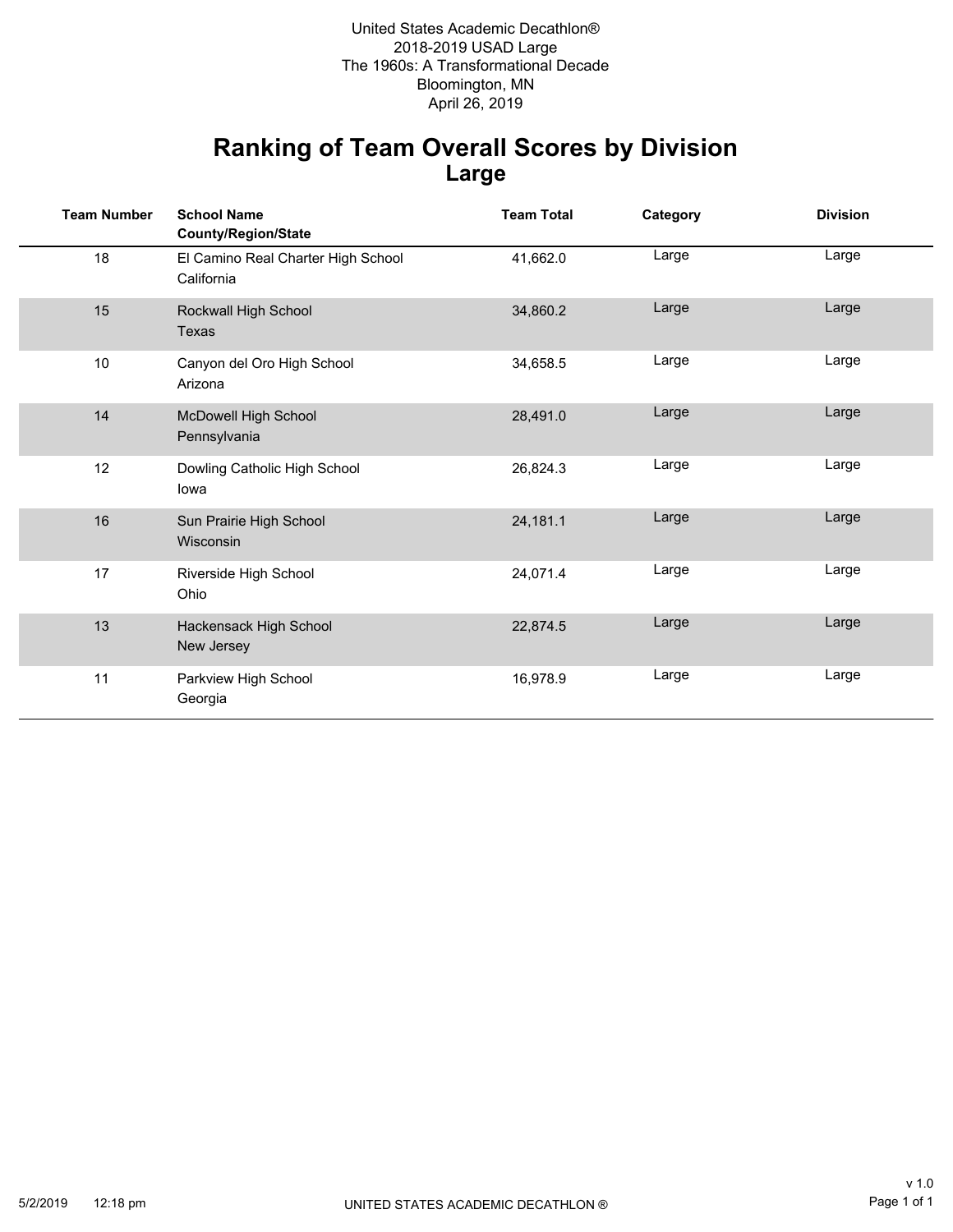Bloomington, MN 2018-2019 USAD Large The 1960s: A Transformational Decade United States Academic Decathlon® April 26, 2019

### **Ranking of Team Overall Scores by Division Large**

| <b>Team Number</b> | <b>School Name</b><br><b>County/Region/State</b> | <b>Team Total</b> | Category | <b>Division</b> |
|--------------------|--------------------------------------------------|-------------------|----------|-----------------|
| 18                 | El Camino Real Charter High School<br>California | 41,662.0          | Large    | Large           |
| 15                 | Rockwall High School<br>Texas                    | 34,860.2          | Large    | Large           |
| 10                 | Canyon del Oro High School<br>Arizona            | 34,658.5          | Large    | Large           |
| 14                 | McDowell High School<br>Pennsylvania             | 28,491.0          | Large    | Large           |
| 12                 | Dowling Catholic High School<br>lowa             | 26,824.3          | Large    | Large           |
| 16                 | Sun Prairie High School<br>Wisconsin             | 24,181.1          | Large    | Large           |
| 17                 | Riverside High School<br>Ohio                    | 24,071.4          | Large    | Large           |
| 13                 | Hackensack High School<br>New Jersey             | 22,874.5          | Large    | Large           |
| 11                 | Parkview High School<br>Georgia                  | 16,978.9          | Large    | Large           |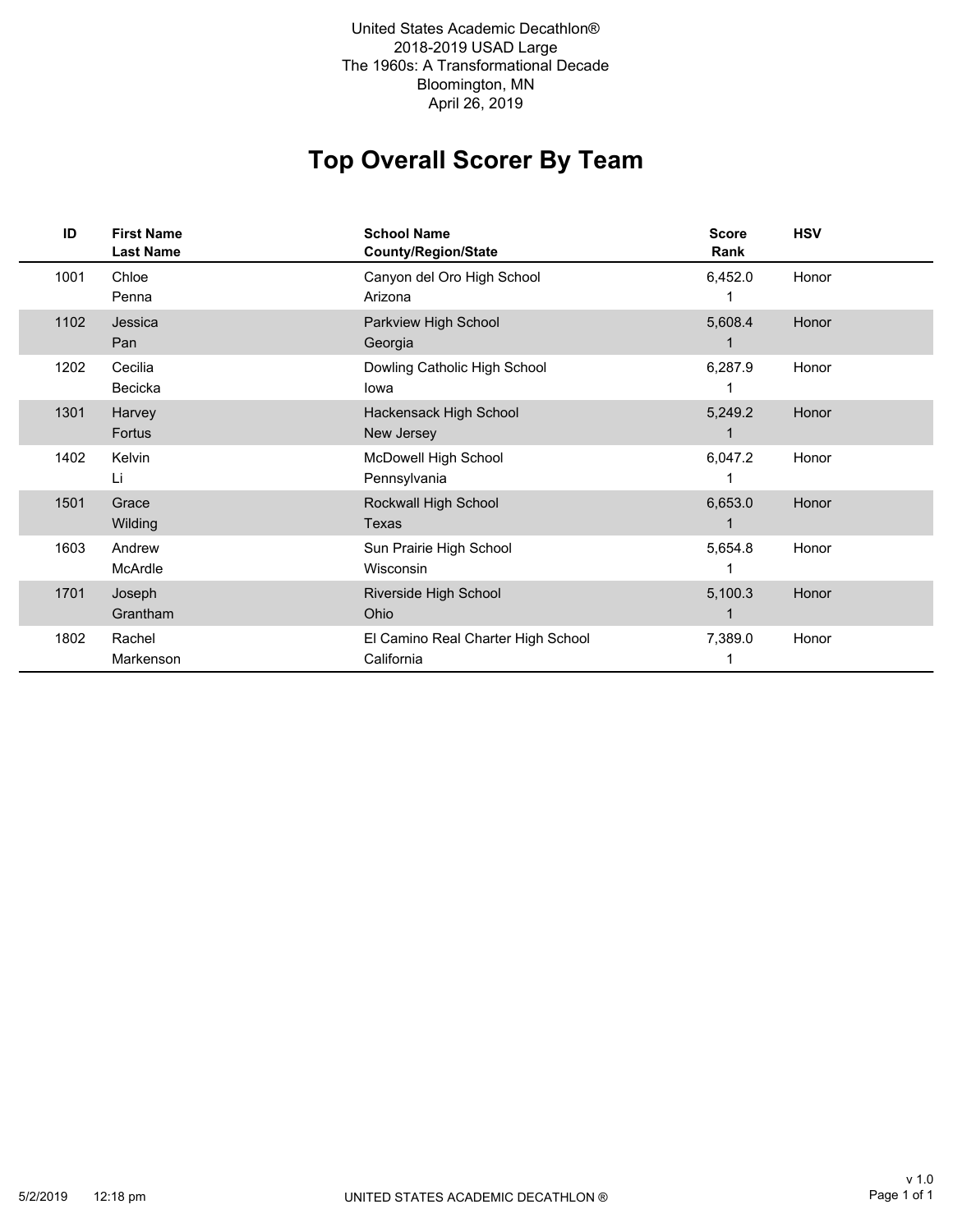2018-2019 USAD Large The 1960s: A Transformational Decade Bloomington, MN United States Academic Decathlon® April 26, 2019

# **Top Overall Scorer By Team**

| ID   | <b>First Name</b><br><b>Last Name</b> | <b>School Name</b><br><b>County/Region/State</b> | <b>Score</b><br>Rank | <b>HSV</b> |
|------|---------------------------------------|--------------------------------------------------|----------------------|------------|
| 1001 | Chloe<br>Penna                        | Canyon del Oro High School<br>Arizona            | 6,452.0              | Honor      |
| 1102 | Jessica<br>Pan                        | Parkview High School<br>Georgia                  | 5,608.4<br>1         | Honor      |
| 1202 | Cecilia<br>Becicka                    | Dowling Catholic High School<br>lowa             | 6,287.9              | Honor      |
| 1301 | Harvey<br>Fortus                      | Hackensack High School<br>New Jersey             | 5,249.2<br>1         | Honor      |
| 1402 | Kelvin<br>Li                          | McDowell High School<br>Pennsylvania             | 6,047.2              | Honor      |
| 1501 | Grace<br>Wilding                      | Rockwall High School<br>Texas                    | 6,653.0              | Honor      |
| 1603 | Andrew<br>McArdle                     | Sun Prairie High School<br><b>Wisconsin</b>      | 5,654.8              | Honor      |
| 1701 | Joseph<br>Grantham                    | Riverside High School<br>Ohio                    | 5,100.3              | Honor      |
| 1802 | Rachel<br>Markenson                   | El Camino Real Charter High School<br>California | 7,389.0              | Honor      |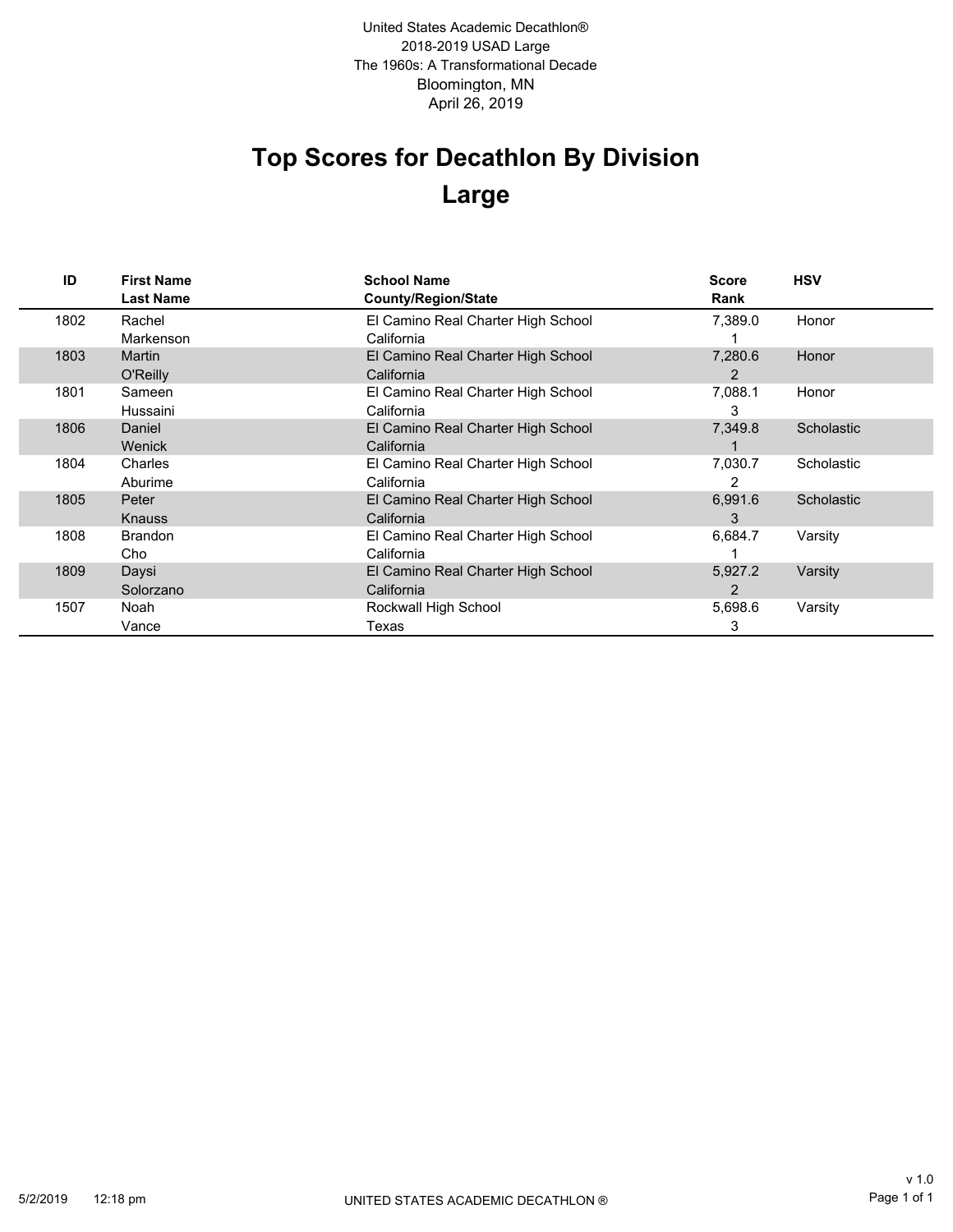Bloomington, MN 2018-2019 USAD Large The 1960s: A Transformational Decade April 26, 2019 United States Academic Decathlon®

# **Top Scores for Decathlon By Division Large**

| ID   | <b>First Name</b><br><b>Last Name</b> | <b>School Name</b><br><b>County/Region/State</b> | <b>Score</b><br>Rank | <b>HSV</b> |
|------|---------------------------------------|--------------------------------------------------|----------------------|------------|
| 1802 | Rachel                                | El Camino Real Charter High School               | 7.389.0              | Honor      |
|      | Markenson                             | California                                       |                      |            |
| 1803 | <b>Martin</b>                         | El Camino Real Charter High School               | 7,280.6              | Honor      |
|      | O'Reilly                              | California                                       | 2                    |            |
| 1801 | Sameen                                | El Camino Real Charter High School               | 7,088.1              | Honor      |
|      | Hussaini                              | California                                       | 3                    |            |
| 1806 | Daniel                                | El Camino Real Charter High School               | 7,349.8              | Scholastic |
|      | <b>Wenick</b>                         | California                                       |                      |            |
| 1804 | Charles                               | El Camino Real Charter High School               | 7,030.7              | Scholastic |
|      | Aburime                               | California                                       | 2                    |            |
| 1805 | Peter                                 | El Camino Real Charter High School               | 6,991.6              | Scholastic |
|      | <b>Knauss</b>                         | California                                       | 3                    |            |
| 1808 | <b>Brandon</b>                        | El Camino Real Charter High School               | 6,684.7              | Varsity    |
|      | Cho                                   | California                                       |                      |            |
| 1809 | Daysi                                 | El Camino Real Charter High School               | 5,927.2              | Varsity    |
|      | Solorzano                             | California                                       | $\overline{2}$       |            |
| 1507 | Noah                                  | Rockwall High School                             | 5,698.6              | Varsity    |
|      | Vance                                 | Texas                                            | 3                    |            |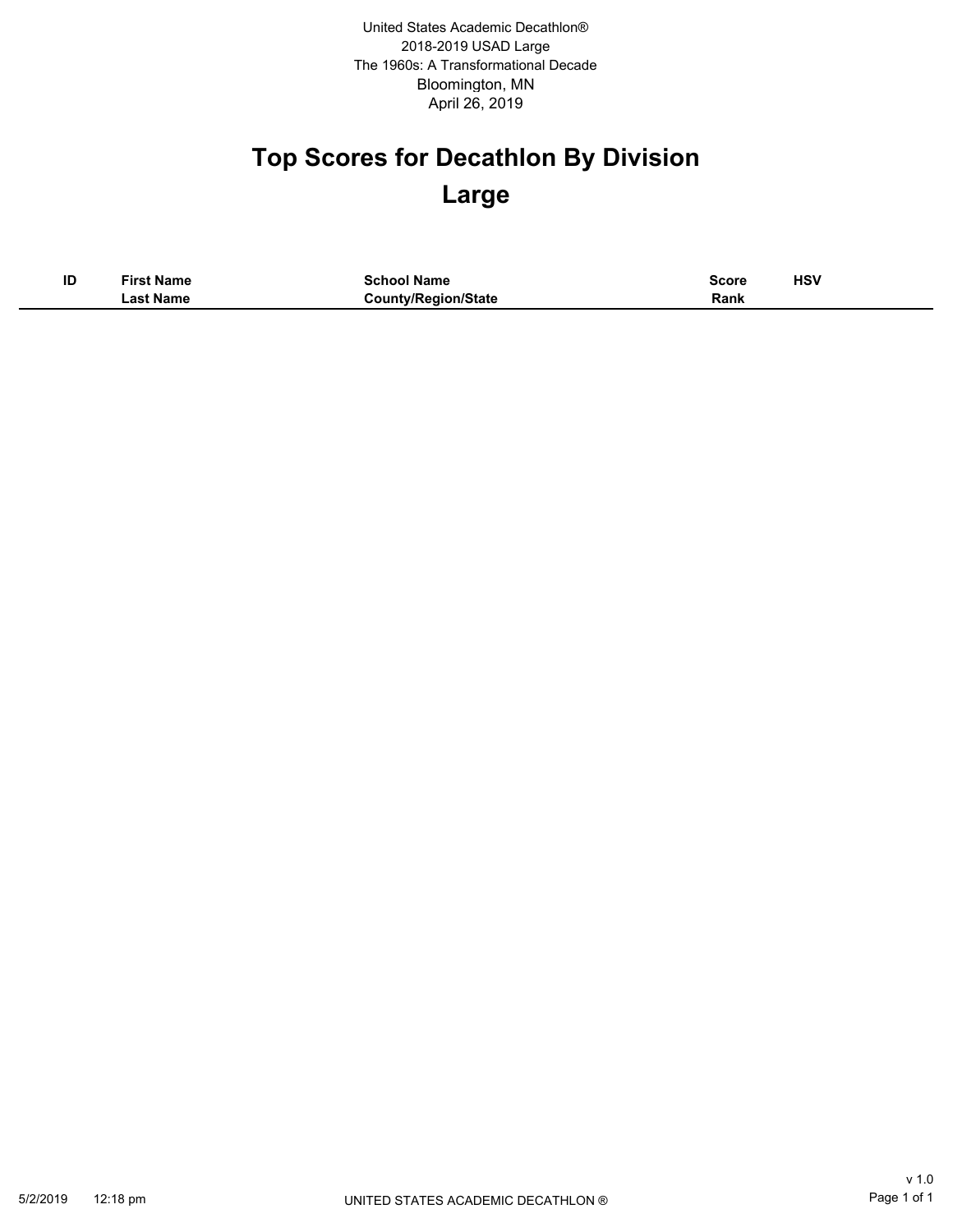Bloomington, MN 2018-2019 USAD Large The 1960s: A Transformational Decade April 26, 2019 United States Academic Decathlon®

# **Top Scores for Decathlon By Division Large**

| ID | <b>First Name</b> | <b>School Name</b>         | Score | <b>HSV</b><br>____ |
|----|-------------------|----------------------------|-------|--------------------|
|    | ∟ast Name         | <b>County/Region/State</b> | Rank  |                    |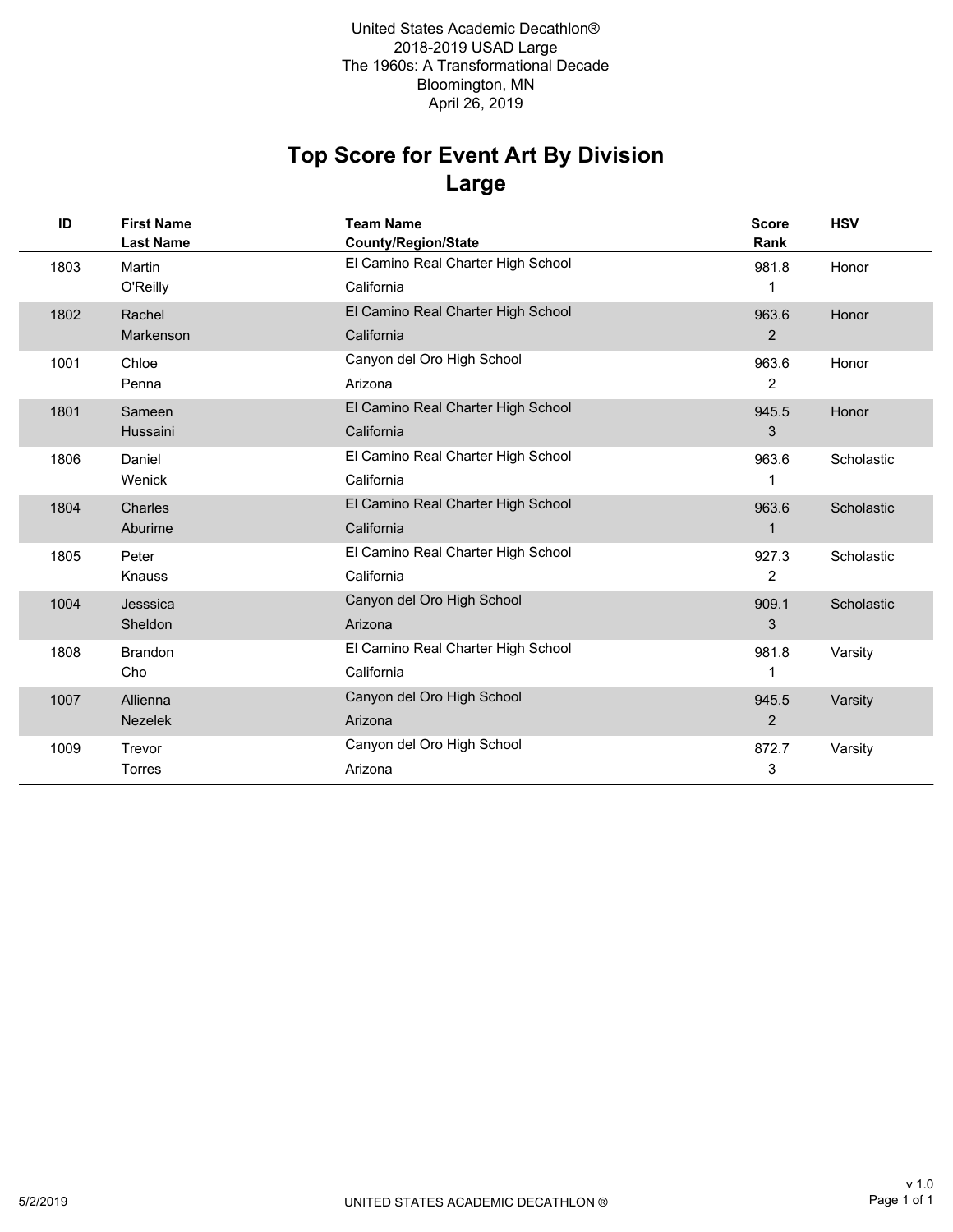### **Large Top Score for Event Art By Division**

| ID   | <b>First Name</b><br><b>Last Name</b> | <b>Team Name</b><br><b>County/Region/State</b> | <b>Score</b><br>Rank | <b>HSV</b> |
|------|---------------------------------------|------------------------------------------------|----------------------|------------|
| 1803 | Martin                                | El Camino Real Charter High School             | 981.8                | Honor      |
|      | O'Reilly                              | California                                     | 1                    |            |
| 1802 | Rachel                                | El Camino Real Charter High School             | 963.6                | Honor      |
|      | Markenson                             | California                                     | $\overline{2}$       |            |
| 1001 | Chloe                                 | Canyon del Oro High School                     | 963.6                | Honor      |
|      | Penna                                 | Arizona                                        | 2                    |            |
| 1801 | Sameen                                | El Camino Real Charter High School             | 945.5                | Honor      |
|      | Hussaini                              | California                                     | 3                    |            |
| 1806 | Daniel                                | El Camino Real Charter High School             | 963.6                | Scholastic |
|      | Wenick                                | California                                     | 1                    |            |
| 1804 | Charles                               | El Camino Real Charter High School             | 963.6                | Scholastic |
|      | Aburime                               | California                                     | 1                    |            |
| 1805 | Peter                                 | El Camino Real Charter High School             | 927.3                | Scholastic |
|      | <b>Knauss</b>                         | California                                     | 2                    |            |
| 1004 | Jesssica                              | Canyon del Oro High School                     | 909.1                | Scholastic |
|      | Sheldon                               | Arizona                                        | 3                    |            |
| 1808 | <b>Brandon</b>                        | El Camino Real Charter High School             | 981.8                | Varsity    |
|      | Cho                                   | California                                     |                      |            |
| 1007 | Allienna                              | Canyon del Oro High School                     | 945.5                | Varsity    |
|      | <b>Nezelek</b>                        | Arizona                                        | $\overline{2}$       |            |
| 1009 | Trevor                                | Canyon del Oro High School                     | 872.7                | Varsity    |
|      | <b>Torres</b>                         | Arizona                                        | 3                    |            |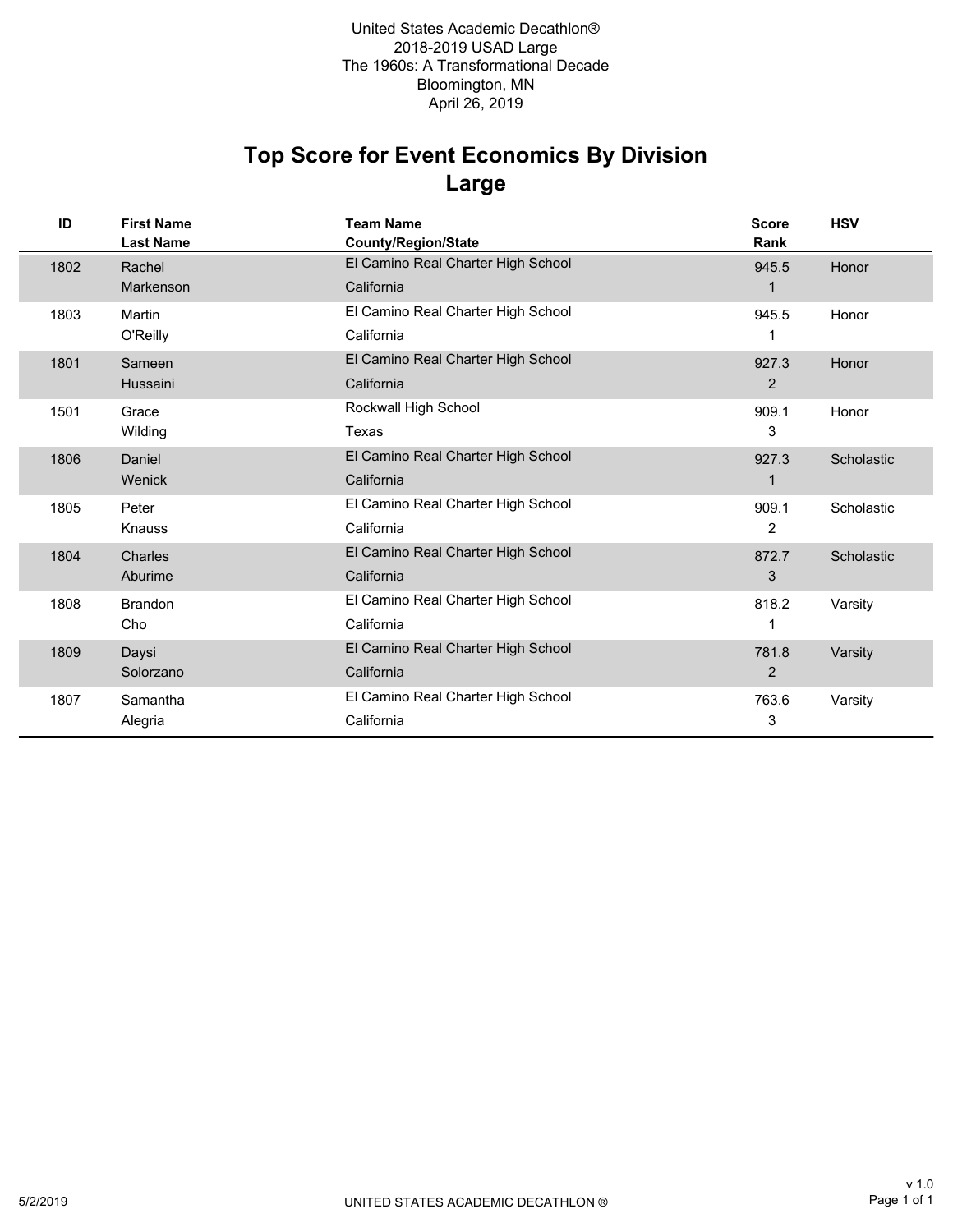### **Large Top Score for Event Economics By Division**

| ID   | <b>First Name</b><br><b>Last Name</b> | <b>Team Name</b><br><b>County/Region/State</b> | <b>Score</b><br>Rank | <b>HSV</b> |
|------|---------------------------------------|------------------------------------------------|----------------------|------------|
| 1802 | Rachel                                | El Camino Real Charter High School             | 945.5                | Honor      |
|      | Markenson                             | California                                     |                      |            |
| 1803 | Martin                                | El Camino Real Charter High School             | 945.5                | Honor      |
|      | O'Reilly                              | California                                     | 1                    |            |
| 1801 | Sameen                                | El Camino Real Charter High School             | 927.3                | Honor      |
|      | Hussaini                              | California                                     | 2                    |            |
| 1501 | Grace                                 | Rockwall High School                           | 909.1                | Honor      |
|      | Wilding                               | Texas                                          | 3                    |            |
| 1806 | Daniel                                | El Camino Real Charter High School             | 927.3                | Scholastic |
|      | Wenick                                | California                                     | 1                    |            |
| 1805 | Peter                                 | El Camino Real Charter High School             | 909.1                | Scholastic |
|      | Knauss                                | California                                     | 2                    |            |
| 1804 | Charles                               | El Camino Real Charter High School             | 872.7                | Scholastic |
|      | Aburime                               | California                                     | 3                    |            |
| 1808 | <b>Brandon</b>                        | El Camino Real Charter High School             | 818.2                | Varsity    |
|      | Cho                                   | California                                     | 1                    |            |
| 1809 | Daysi                                 | El Camino Real Charter High School             | 781.8                | Varsity    |
|      | Solorzano                             | California                                     | 2                    |            |
| 1807 | Samantha                              | El Camino Real Charter High School             | 763.6                | Varsity    |
|      | Alegria                               | California                                     | 3                    |            |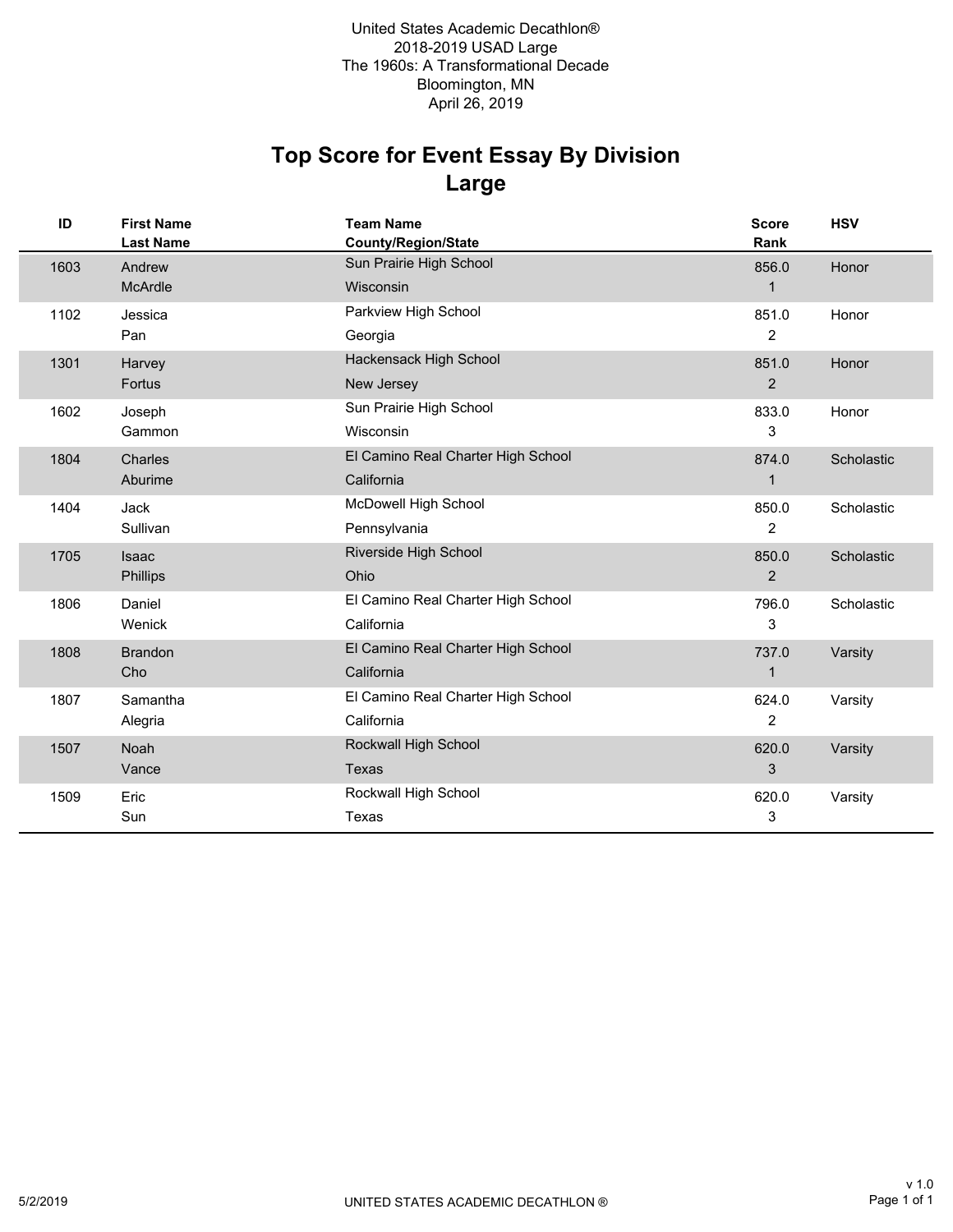# **Large Top Score for Event Essay By Division**

| ID   | <b>First Name</b><br><b>Last Name</b> | <b>Team Name</b><br><b>County/Region/State</b> | <b>Score</b><br>Rank | <b>HSV</b> |
|------|---------------------------------------|------------------------------------------------|----------------------|------------|
| 1603 | Andrew                                | Sun Prairie High School                        | 856.0                | Honor      |
|      | McArdle                               | Wisconsin                                      | $\mathbf{1}$         |            |
| 1102 | Jessica                               | Parkview High School                           | 851.0                | Honor      |
|      | Pan                                   | Georgia                                        | $\overline{2}$       |            |
| 1301 | Harvey                                | Hackensack High School                         | 851.0                | Honor      |
|      | Fortus                                | New Jersey                                     | $\overline{2}$       |            |
| 1602 | Joseph                                | Sun Prairie High School                        | 833.0                | Honor      |
|      | Gammon                                | Wisconsin                                      | 3                    |            |
| 1804 | Charles                               | El Camino Real Charter High School             | 874.0                | Scholastic |
|      | Aburime                               | California                                     | $\mathbf 1$          |            |
| 1404 | Jack                                  | <b>McDowell High School</b>                    | 850.0                | Scholastic |
|      | Sullivan                              | Pennsylvania                                   | $\overline{2}$       |            |
| 1705 | Isaac                                 | Riverside High School                          | 850.0                | Scholastic |
|      | Phillips                              | Ohio                                           | $\overline{2}$       |            |
| 1806 | Daniel                                | El Camino Real Charter High School             | 796.0                | Scholastic |
|      | Wenick                                | California                                     | 3                    |            |
| 1808 | <b>Brandon</b>                        | El Camino Real Charter High School             | 737.0                | Varsity    |
|      | Cho                                   | California                                     | 1                    |            |
| 1807 | Samantha                              | El Camino Real Charter High School             | 624.0                | Varsity    |
|      | Alegria                               | California                                     | 2                    |            |
| 1507 | Noah                                  | Rockwall High School                           | 620.0                | Varsity    |
|      | Vance                                 | Texas                                          | 3                    |            |
| 1509 | Eric                                  | Rockwall High School                           | 620.0                | Varsity    |
|      | Sun                                   | Texas                                          | 3                    |            |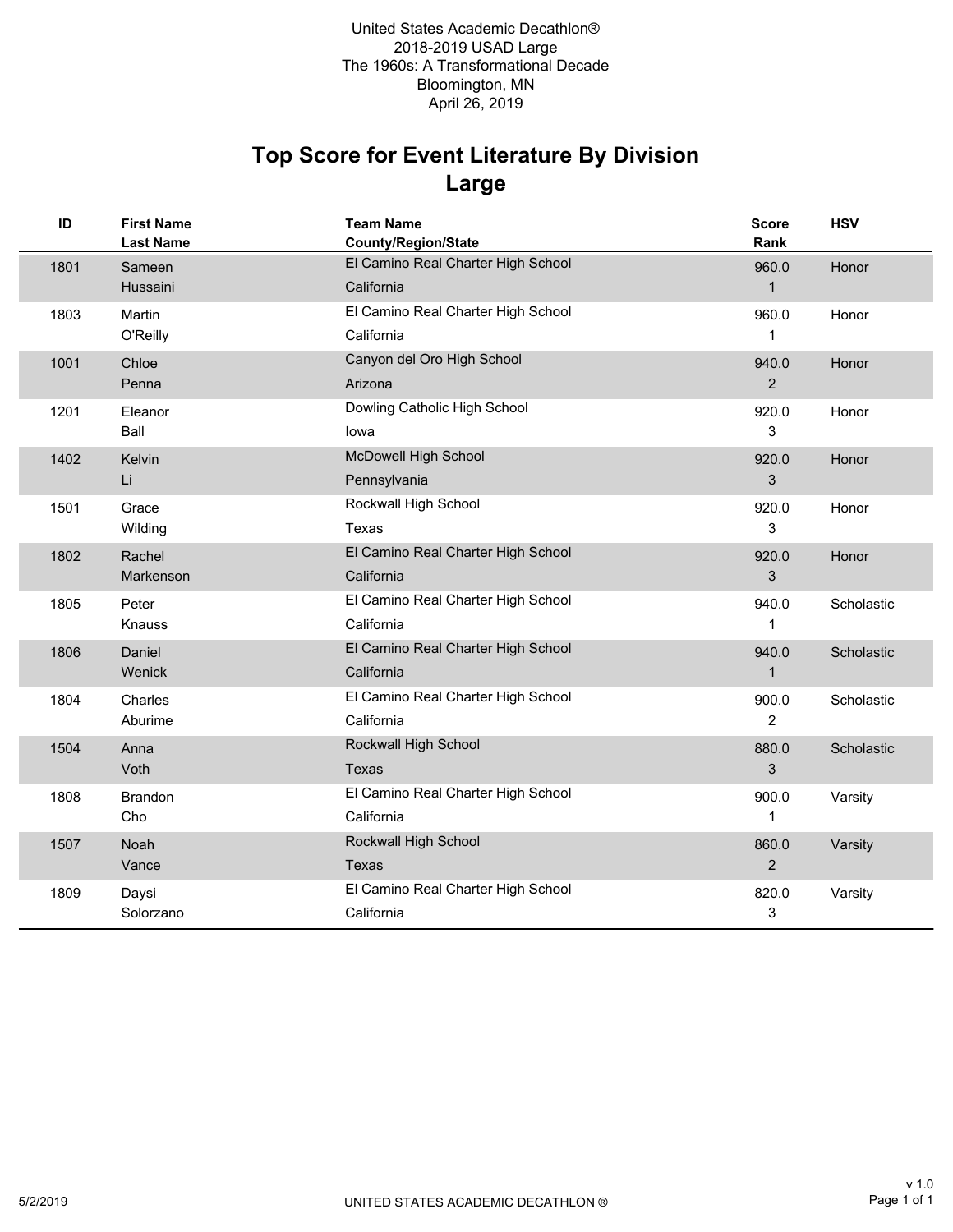## **Large Top Score for Event Literature By Division**

| ID   | <b>First Name</b><br><b>Last Name</b> | <b>Team Name</b><br>County/Region/State          | Score<br>Rank           | <b>HSV</b> |
|------|---------------------------------------|--------------------------------------------------|-------------------------|------------|
| 1801 | Sameen<br>Hussaini                    | El Camino Real Charter High School<br>California | 960.0<br>$\mathbf{1}$   | Honor      |
| 1803 | Martin<br>O'Reilly                    | El Camino Real Charter High School<br>California | 960.0<br>1              | Honor      |
| 1001 | Chloe<br>Penna                        | Canyon del Oro High School<br>Arizona            | 940.0<br>$\overline{2}$ | Honor      |
| 1201 | Eleanor<br>Ball                       | Dowling Catholic High School<br>lowa             | 920.0<br>3              | Honor      |
| 1402 | Kelvin<br>Li                          | <b>McDowell High School</b><br>Pennsylvania      | 920.0<br>3              | Honor      |
| 1501 | Grace<br>Wilding                      | Rockwall High School<br>Texas                    | 920.0<br>3              | Honor      |
| 1802 | Rachel<br>Markenson                   | El Camino Real Charter High School<br>California | 920.0<br>3              | Honor      |
| 1805 | Peter<br>Knauss                       | El Camino Real Charter High School<br>California | 940.0<br>1              | Scholastic |
| 1806 | Daniel<br>Wenick                      | El Camino Real Charter High School<br>California | 940.0<br>$\mathbf{1}$   | Scholastic |
| 1804 | Charles<br>Aburime                    | El Camino Real Charter High School<br>California | 900.0<br>$\overline{c}$ | Scholastic |
| 1504 | Anna<br>Voth                          | Rockwall High School<br>Texas                    | 880.0<br>3              | Scholastic |
| 1808 | <b>Brandon</b><br>Cho                 | El Camino Real Charter High School<br>California | 900.0<br>1              | Varsity    |
| 1507 | Noah<br>Vance                         | Rockwall High School<br><b>Texas</b>             | 860.0<br>$\overline{2}$ | Varsity    |
| 1809 | Daysi<br>Solorzano                    | El Camino Real Charter High School<br>California | 820.0<br>3              | Varsity    |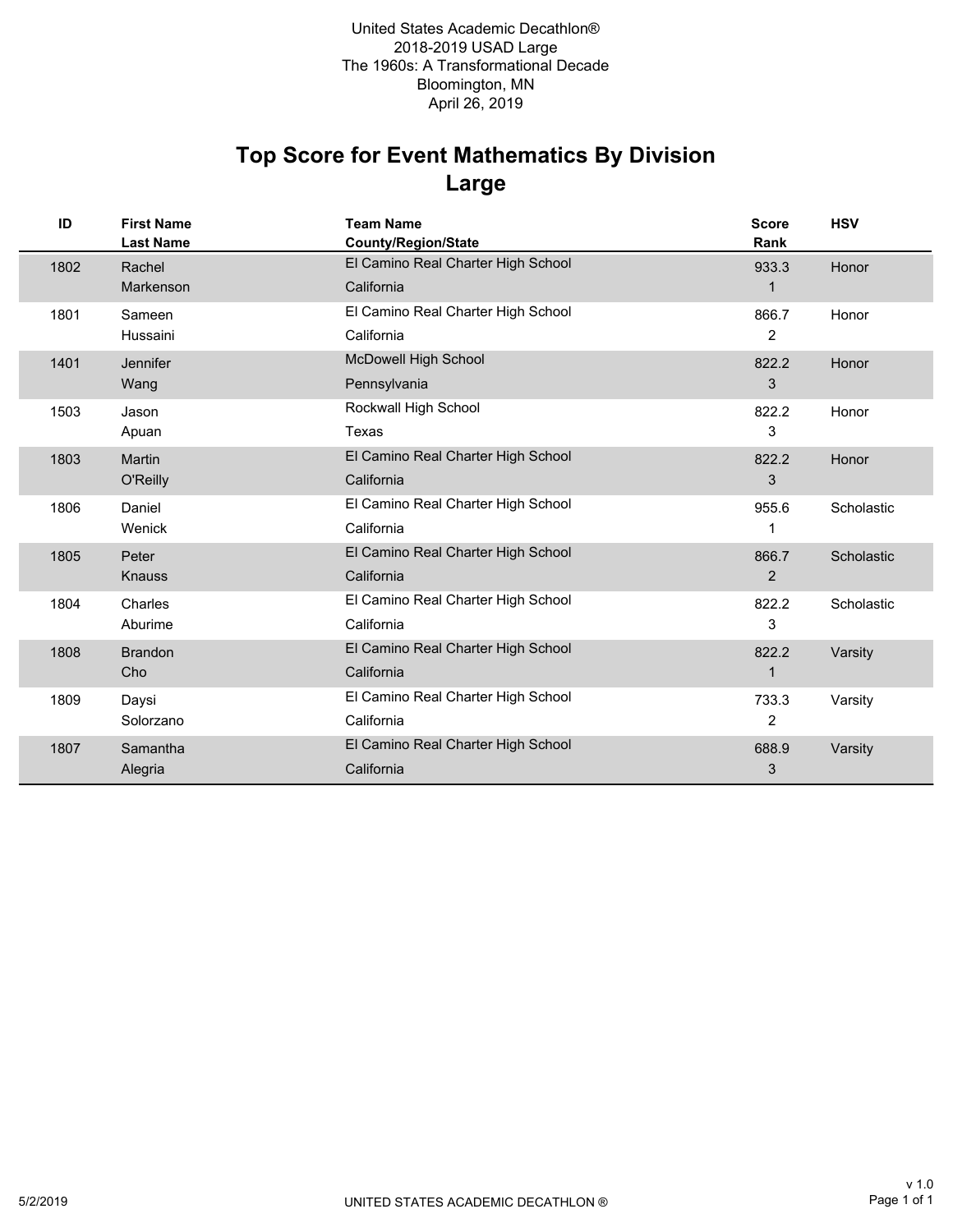### **Large Top Score for Event Mathematics By Division**

| ID   | <b>First Name</b><br><b>Last Name</b> | <b>Team Name</b><br><b>County/Region/State</b> | <b>Score</b><br>Rank | <b>HSV</b> |
|------|---------------------------------------|------------------------------------------------|----------------------|------------|
| 1802 | Rachel                                | El Camino Real Charter High School             | 933.3                | Honor      |
|      | Markenson                             | California                                     | 1                    |            |
| 1801 | Sameen                                | El Camino Real Charter High School             | 866.7                | Honor      |
|      | Hussaini                              | California                                     | $\overline{2}$       |            |
| 1401 | Jennifer                              | <b>McDowell High School</b>                    | 822.2                | Honor      |
|      | Wang                                  | Pennsylvania                                   | 3                    |            |
| 1503 | Jason                                 | Rockwall High School                           | 822.2                | Honor      |
|      | Apuan                                 | <b>Texas</b>                                   | 3                    |            |
| 1803 | Martin                                | El Camino Real Charter High School             | 822.2                | Honor      |
|      | O'Reilly                              | California                                     | 3                    |            |
| 1806 | Daniel                                | El Camino Real Charter High School             | 955.6                | Scholastic |
|      | Wenick                                | California                                     | 1                    |            |
| 1805 | Peter                                 | El Camino Real Charter High School             | 866.7                | Scholastic |
|      | Knauss                                | California                                     | 2                    |            |
| 1804 | Charles                               | El Camino Real Charter High School             | 822.2                | Scholastic |
|      | Aburime                               | California                                     | 3                    |            |
| 1808 | <b>Brandon</b>                        | El Camino Real Charter High School             | 822.2                | Varsity    |
|      | Cho                                   | California                                     | 1                    |            |
| 1809 | Daysi                                 | El Camino Real Charter High School             | 733.3                | Varsity    |
|      | Solorzano                             | California                                     | $\overline{2}$       |            |
| 1807 | Samantha                              | El Camino Real Charter High School             | 688.9                | Varsity    |
|      | Alegria                               | California                                     | 3                    |            |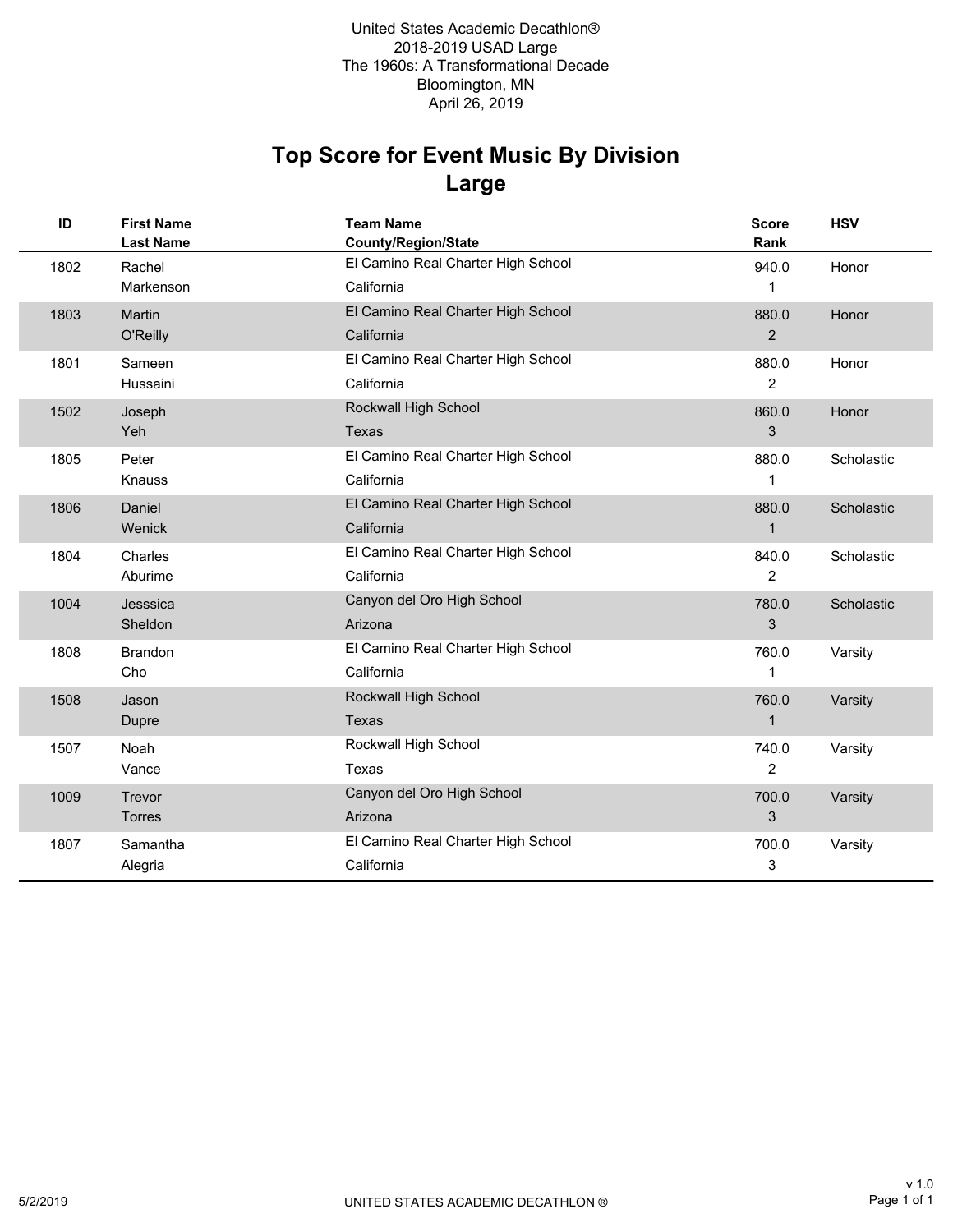## **Large Top Score for Event Music By Division**

| ID   | <b>First Name</b><br><b>Last Name</b> | <b>Team Name</b><br><b>County/Region/State</b> | <b>Score</b><br>Rank | <b>HSV</b> |
|------|---------------------------------------|------------------------------------------------|----------------------|------------|
| 1802 | Rachel                                | El Camino Real Charter High School             | 940.0                | Honor      |
|      | Markenson                             | California                                     | 1                    |            |
| 1803 | Martin                                | El Camino Real Charter High School             | 880.0                | Honor      |
|      | O'Reilly                              | California                                     | 2                    |            |
| 1801 | Sameen                                | El Camino Real Charter High School             | 880.0                | Honor      |
|      | Hussaini                              | California                                     | $\overline{2}$       |            |
| 1502 | Joseph                                | Rockwall High School                           | 860.0                | Honor      |
|      | Yeh                                   | <b>Texas</b>                                   | 3                    |            |
| 1805 | Peter                                 | El Camino Real Charter High School             | 880.0                | Scholastic |
|      | Knauss                                | California                                     | 1                    |            |
| 1806 | Daniel                                | El Camino Real Charter High School             | 880.0                | Scholastic |
|      | Wenick                                | California                                     | $\mathbf{1}$         |            |
| 1804 | Charles                               | El Camino Real Charter High School             | 840.0                | Scholastic |
|      | Aburime                               | California                                     | $\overline{2}$       |            |
| 1004 | Jesssica                              | Canyon del Oro High School                     | 780.0                | Scholastic |
|      | Sheldon                               | Arizona                                        | 3                    |            |
| 1808 | <b>Brandon</b>                        | El Camino Real Charter High School             | 760.0                | Varsity    |
|      | Cho                                   | California                                     | 1                    |            |
| 1508 | Jason                                 | Rockwall High School                           | 760.0                | Varsity    |
|      | Dupre                                 | <b>Texas</b>                                   | $\mathbf 1$          |            |
| 1507 | Noah                                  | Rockwall High School                           | 740.0                | Varsity    |
|      | Vance                                 | Texas                                          | 2                    |            |
| 1009 | Trevor                                | Canyon del Oro High School                     | 700.0                | Varsity    |
|      | Torres                                | Arizona                                        | 3                    |            |
| 1807 | Samantha                              | El Camino Real Charter High School             | 700.0                | Varsity    |
|      | Alegria                               | California                                     | 3                    |            |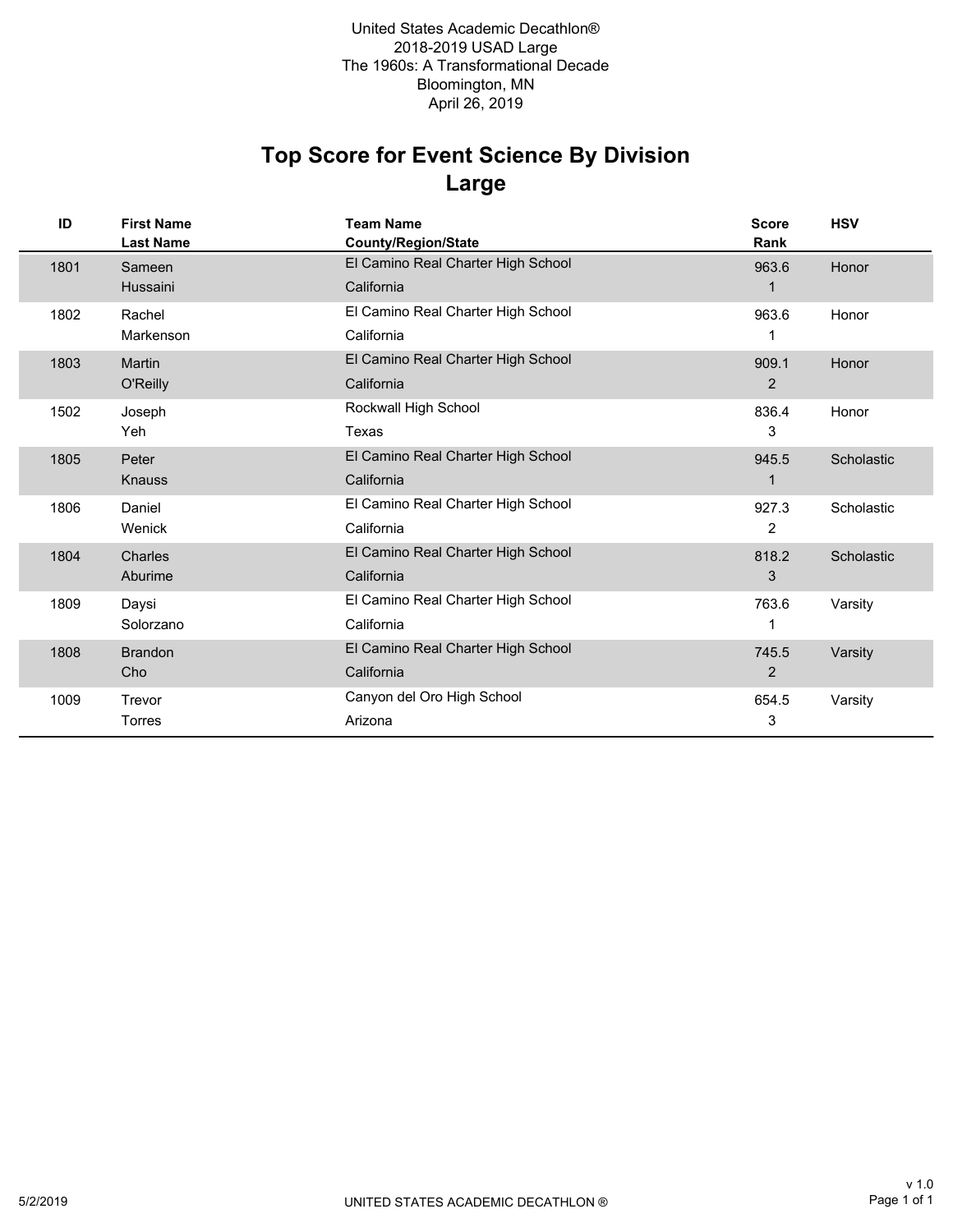### **Large Top Score for Event Science By Division**

| ID   | <b>First Name</b><br><b>Last Name</b> | <b>Team Name</b><br>County/Region/State | <b>Score</b><br>Rank | <b>HSV</b> |
|------|---------------------------------------|-----------------------------------------|----------------------|------------|
| 1801 | Sameen                                | El Camino Real Charter High School      | 963.6                | Honor      |
|      | Hussaini                              | California                              | 1                    |            |
| 1802 | Rachel                                | El Camino Real Charter High School      | 963.6                | Honor      |
|      | Markenson                             | California                              | 1                    |            |
| 1803 | Martin                                | El Camino Real Charter High School      | 909.1                | Honor      |
|      | O'Reilly                              | California                              | 2                    |            |
| 1502 | Joseph                                | Rockwall High School                    | 836.4                | Honor      |
|      | Yeh                                   | Texas                                   | 3                    |            |
| 1805 | Peter                                 | El Camino Real Charter High School      | 945.5                | Scholastic |
|      | <b>Knauss</b>                         | California                              | 1                    |            |
| 1806 | Daniel                                | El Camino Real Charter High School      | 927.3                | Scholastic |
|      | Wenick                                | California                              | 2                    |            |
| 1804 | Charles                               | El Camino Real Charter High School      | 818.2                | Scholastic |
|      | Aburime                               | California                              | 3                    |            |
| 1809 | Daysi                                 | El Camino Real Charter High School      | 763.6                | Varsity    |
|      | Solorzano                             | California                              | 1                    |            |
| 1808 | <b>Brandon</b>                        | El Camino Real Charter High School      | 745.5                | Varsity    |
|      | Cho                                   | California                              | $\overline{2}$       |            |
| 1009 | Trevor                                | Canyon del Oro High School              | 654.5                | Varsity    |
|      | Torres                                | Arizona                                 | 3                    |            |